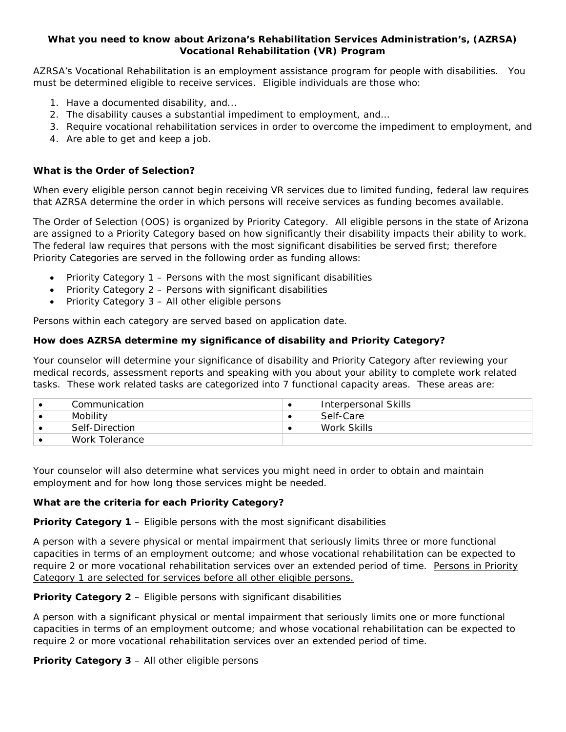# **What you need to know about Arizona's Rehabilitation Services Administration's, (AZRSA) Vocational Rehabilitation (VR) Program**

AZRSA's Vocational Rehabilitation is an employment assistance program for people with disabilities. You must be determined eligible to receive services. Eligible individuals are those who:

- 1. Have a documented disability, and...
- 2. The disability causes a substantial impediment to employment, and…
- 3. Require vocational rehabilitation services in order to overcome the impediment to employment, and
- 4. Are able to get and keep a job.

# **What is the Order of Selection?**

When every eligible person cannot begin receiving VR services due to limited funding, federal law requires that AZRSA determine the order in which persons will receive services as funding becomes available.

The Order of Selection (OOS) is organized by Priority Category. All eligible persons in the state of Arizona are assigned to a Priority Category based on how significantly their disability impacts their ability to work. The federal law requires that persons with the most significant disabilities be served first; therefore Priority Categories are served in the following order as funding allows:

- Priority Category 1 Persons with the most significant disabilities
- Priority Category 2 Persons with significant disabilities
- Priority Category 3 All other eligible persons

Persons within each category are served based on application date.

# **How does AZRSA determine my significance of disability and Priority Category?**

Your counselor will determine your significance of disability and Priority Category after reviewing your medical records, assessment reports and speaking with you about your ability to complete work related tasks. These work related tasks are categorized into 7 functional capacity areas. These areas are:

| Communication  | Interpersonal Skills |
|----------------|----------------------|
| Mobility       | Self-Care            |
| Self-Direction | Work Skills          |
| Work Tolerance |                      |

Your counselor will also determine what services you might need in order to obtain and maintain employment and for how long those services might be needed.

### **What are the criteria for each Priority Category?**

### **Priority Category 1** – *Eligible persons with the most significant disabilities*

A person with a severe physical or mental impairment that seriously limits three or more functional capacities in terms of an employment outcome; and whose vocational rehabilitation can be expected to require 2 or more vocational rehabilitation services over an extended period of time. Persons in Priority Category 1 are selected for services before all other eligible persons.

# **Priority Category 2** – *Eligible persons with significant disabilities*

A person with a significant physical or mental impairment that seriously limits one or more functional capacities in terms of an employment outcome; and whose vocational rehabilitation can be expected to require 2 or more vocational rehabilitation services over an extended period of time.

# **Priority Category 3** – *All other eligible persons*